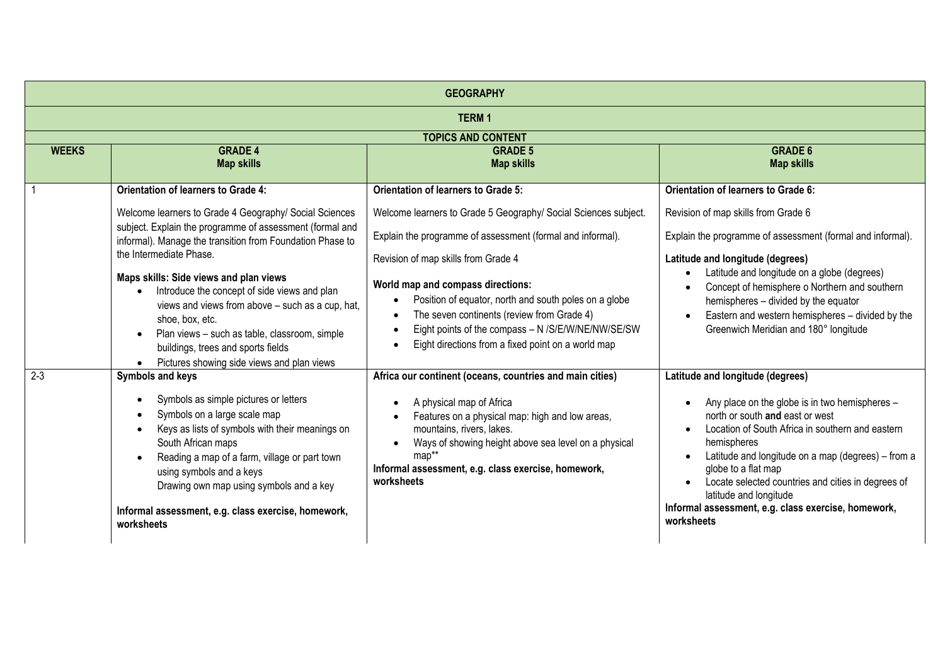| <b>GEOGRAPHY</b> |                                                                                                                                                                                                                                                                                                                                                                                           |                                                                                                                                                                                                                                                                                                                                      |                                                                                                                                                                                                                                                                                                                                                                                                                            |  |
|------------------|-------------------------------------------------------------------------------------------------------------------------------------------------------------------------------------------------------------------------------------------------------------------------------------------------------------------------------------------------------------------------------------------|--------------------------------------------------------------------------------------------------------------------------------------------------------------------------------------------------------------------------------------------------------------------------------------------------------------------------------------|----------------------------------------------------------------------------------------------------------------------------------------------------------------------------------------------------------------------------------------------------------------------------------------------------------------------------------------------------------------------------------------------------------------------------|--|
| <b>TERM1</b>     |                                                                                                                                                                                                                                                                                                                                                                                           |                                                                                                                                                                                                                                                                                                                                      |                                                                                                                                                                                                                                                                                                                                                                                                                            |  |
|                  |                                                                                                                                                                                                                                                                                                                                                                                           | <b>TOPICS AND CONTENT</b>                                                                                                                                                                                                                                                                                                            |                                                                                                                                                                                                                                                                                                                                                                                                                            |  |
| <b>WEEKS</b>     | <b>GRADE 4</b><br><b>Map skills</b>                                                                                                                                                                                                                                                                                                                                                       | <b>GRADE 5</b><br><b>Map skills</b>                                                                                                                                                                                                                                                                                                  | <b>GRADE 6</b><br><b>Map skills</b>                                                                                                                                                                                                                                                                                                                                                                                        |  |
|                  | <b>Orientation of learners to Grade 4:</b>                                                                                                                                                                                                                                                                                                                                                | <b>Orientation of learners to Grade 5:</b>                                                                                                                                                                                                                                                                                           | Orientation of learners to Grade 6:                                                                                                                                                                                                                                                                                                                                                                                        |  |
|                  | Welcome learners to Grade 4 Geography/ Social Sciences<br>subject. Explain the programme of assessment (formal and<br>informal). Manage the transition from Foundation Phase to<br>the Intermediate Phase.                                                                                                                                                                                | Welcome learners to Grade 5 Geography/ Social Sciences subject.<br>Explain the programme of assessment (formal and informal).                                                                                                                                                                                                        | Revision of map skills from Grade 6<br>Explain the programme of assessment (formal and informal).                                                                                                                                                                                                                                                                                                                          |  |
|                  | Maps skills: Side views and plan views<br>Introduce the concept of side views and plan<br>views and views from above - such as a cup, hat,<br>shoe, box, etc.<br>Plan views - such as table, classroom, simple<br>buildings, trees and sports fields<br>Pictures showing side views and plan views                                                                                        | Revision of map skills from Grade 4<br>World map and compass directions:<br>Position of equator, north and south poles on a globe<br>The seven continents (review from Grade 4)<br>Eight points of the compass - N /S/E/W/NE/NW/SE/SW<br>Eight directions from a fixed point on a world map                                          | Latitude and longitude (degrees)<br>Latitude and longitude on a globe (degrees)<br>Concept of hemisphere o Northern and southern<br>hemispheres - divided by the equator<br>Eastern and western hemispheres - divided by the<br>Greenwich Meridian and 180° longitude                                                                                                                                                      |  |
| $\overline{2-3}$ | Symbols and keys<br>Symbols as simple pictures or letters<br>$\bullet$<br>Symbols on a large scale map<br>Keys as lists of symbols with their meanings on<br>$\bullet$<br>South African maps<br>Reading a map of a farm, village or part town<br>using symbols and a keys<br>Drawing own map using symbols and a key<br>Informal assessment, e.g. class exercise, homework,<br>worksheets | Africa our continent (oceans, countries and main cities)<br>A physical map of Africa<br>$\bullet$<br>Features on a physical map: high and low areas,<br>mountains, rivers, lakes.<br>Ways of showing height above sea level on a physical<br>$\bullet$<br>map**<br>Informal assessment, e.g. class exercise, homework,<br>worksheets | Latitude and longitude (degrees)<br>Any place on the globe is in two hemispheres -<br>north or south and east or west<br>Location of South Africa in southern and eastern<br>hemispheres<br>Latitude and longitude on a map (degrees) - from a<br>globe to a flat map<br>Locate selected countries and cities in degrees of<br>latitude and longitude<br>Informal assessment, e.g. class exercise, homework,<br>worksheets |  |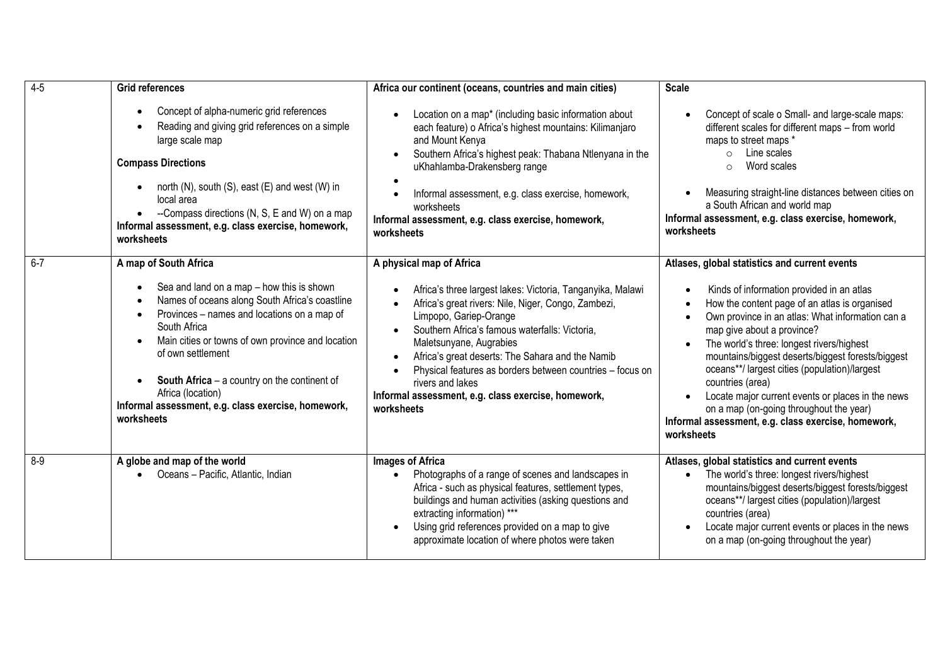| $4 - 5$ | <b>Grid references</b>                                                                                                                                                                                                                                                                                                                                                                                                                     | Africa our continent (oceans, countries and main cities)                                                                                                                                                                                                                                                                                                                                                                                                                                              | <b>Scale</b>                                                                                                                                                                                                                                                                                                                                                                                                                                                                                                                                                              |
|---------|--------------------------------------------------------------------------------------------------------------------------------------------------------------------------------------------------------------------------------------------------------------------------------------------------------------------------------------------------------------------------------------------------------------------------------------------|-------------------------------------------------------------------------------------------------------------------------------------------------------------------------------------------------------------------------------------------------------------------------------------------------------------------------------------------------------------------------------------------------------------------------------------------------------------------------------------------------------|---------------------------------------------------------------------------------------------------------------------------------------------------------------------------------------------------------------------------------------------------------------------------------------------------------------------------------------------------------------------------------------------------------------------------------------------------------------------------------------------------------------------------------------------------------------------------|
|         | Concept of alpha-numeric grid references<br>$\bullet$<br>Reading and giving grid references on a simple<br>large scale map<br><b>Compass Directions</b><br>north (N), south (S), east (E) and west (W) in<br>local area<br>--Compass directions (N, S, E and W) on a map                                                                                                                                                                   | Location on a map* (including basic information about<br>each feature) o Africa's highest mountains: Kilimanjaro<br>and Mount Kenya<br>Southern Africa's highest peak: Thabana Ntlenyana in the<br>$\bullet$<br>uKhahlamba-Drakensberg range<br>$\bullet$<br>Informal assessment, e.g. class exercise, homework,<br>$\bullet$<br>worksheets<br>Informal assessment, e.g. class exercise, homework,                                                                                                    | Concept of scale o Small- and large-scale maps:<br>different scales for different maps - from world<br>maps to street maps *<br>Line scales<br>$\circ$<br>Word scales<br>$\circ$<br>Measuring straight-line distances between cities on<br>a South African and world map<br>Informal assessment, e.g. class exercise, homework,                                                                                                                                                                                                                                           |
|         | Informal assessment, e.g. class exercise, homework,<br>worksheets                                                                                                                                                                                                                                                                                                                                                                          | worksheets                                                                                                                                                                                                                                                                                                                                                                                                                                                                                            | worksheets                                                                                                                                                                                                                                                                                                                                                                                                                                                                                                                                                                |
| $6 - 7$ | A map of South Africa<br>Sea and land on a map - how this is shown<br>Names of oceans along South Africa's coastline<br>Provinces - names and locations on a map of<br>$\bullet$<br>South Africa<br>Main cities or towns of own province and location<br>of own settlement<br><b>South Africa</b> $-$ a country on the continent of<br>$\bullet$<br>Africa (location)<br>Informal assessment, e.g. class exercise, homework,<br>worksheets | A physical map of Africa<br>Africa's three largest lakes: Victoria, Tanganyika, Malawi<br>Africa's great rivers: Nile, Niger, Congo, Zambezi,<br>Limpopo, Gariep-Orange<br>Southern Africa's famous waterfalls: Victoria,<br>$\bullet$<br>Maletsunyane, Augrabies<br>Africa's great deserts: The Sahara and the Namib<br>$\bullet$<br>Physical features as borders between countries - focus on<br>$\bullet$<br>rivers and lakes<br>Informal assessment, e.g. class exercise, homework,<br>worksheets | Atlases, global statistics and current events<br>Kinds of information provided in an atlas<br>How the content page of an atlas is organised<br>Own province in an atlas: What information can a<br>map give about a province?<br>The world's three: longest rivers/highest<br>mountains/biggest deserts/biggest forests/biggest<br>oceans**/ largest cities (population)/largest<br>countries (area)<br>Locate major current events or places in the news<br>on a map (on-going throughout the year)<br>Informal assessment, e.g. class exercise, homework,<br>worksheets |
| $8 - 9$ | A globe and map of the world<br>Oceans - Pacific, Atlantic, Indian<br>$\bullet$                                                                                                                                                                                                                                                                                                                                                            | Images of Africa<br>Photographs of a range of scenes and landscapes in<br>Africa - such as physical features, settlement types,<br>buildings and human activities (asking questions and<br>extracting information) ***<br>Using grid references provided on a map to give<br>$\bullet$<br>approximate location of where photos were taken                                                                                                                                                             | Atlases, global statistics and current events<br>The world's three: longest rivers/highest<br>$\bullet$<br>mountains/biggest deserts/biggest forests/biggest<br>oceans**/ largest cities (population)/largest<br>countries (area)<br>Locate major current events or places in the news<br>on a map (on-going throughout the year)                                                                                                                                                                                                                                         |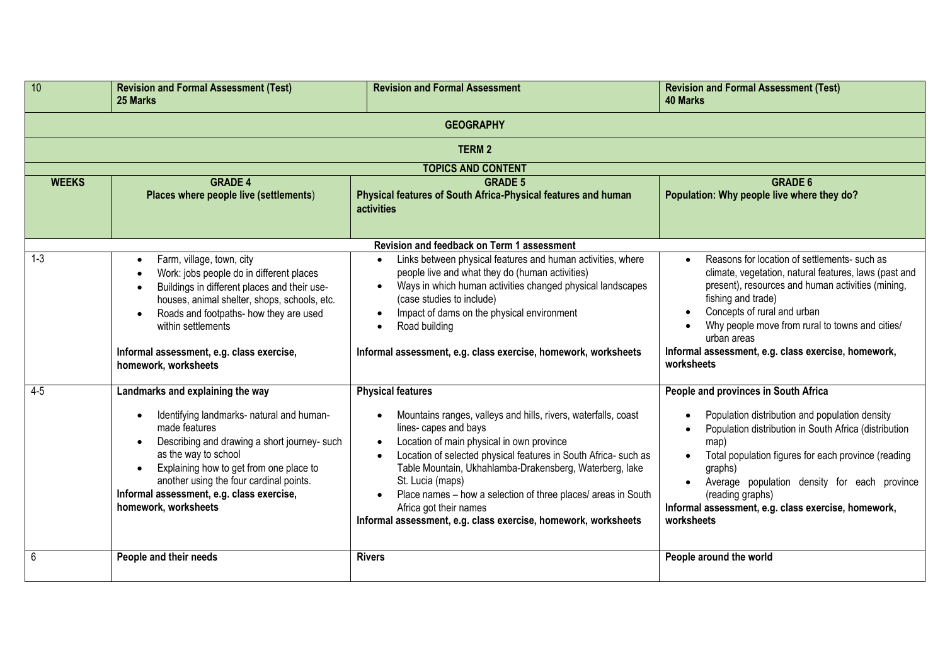| 10               | <b>Revision and Formal Assessment (Test)</b><br>25 Marks                                                                                                                                                                                                                                                                                       | <b>Revision and Formal Assessment</b>                                                                                                                                                                                                                                                                                                                                                                                                                                                       | <b>Revision and Formal Assessment (Test)</b><br><b>40 Marks</b>                                                                                                                                                                                                                                                                                                                  |  |
|------------------|------------------------------------------------------------------------------------------------------------------------------------------------------------------------------------------------------------------------------------------------------------------------------------------------------------------------------------------------|---------------------------------------------------------------------------------------------------------------------------------------------------------------------------------------------------------------------------------------------------------------------------------------------------------------------------------------------------------------------------------------------------------------------------------------------------------------------------------------------|----------------------------------------------------------------------------------------------------------------------------------------------------------------------------------------------------------------------------------------------------------------------------------------------------------------------------------------------------------------------------------|--|
| <b>GEOGRAPHY</b> |                                                                                                                                                                                                                                                                                                                                                |                                                                                                                                                                                                                                                                                                                                                                                                                                                                                             |                                                                                                                                                                                                                                                                                                                                                                                  |  |
|                  |                                                                                                                                                                                                                                                                                                                                                | <b>TERM2</b>                                                                                                                                                                                                                                                                                                                                                                                                                                                                                |                                                                                                                                                                                                                                                                                                                                                                                  |  |
|                  |                                                                                                                                                                                                                                                                                                                                                | <b>TOPICS AND CONTENT</b>                                                                                                                                                                                                                                                                                                                                                                                                                                                                   |                                                                                                                                                                                                                                                                                                                                                                                  |  |
| <b>WEEKS</b>     | <b>GRADE 4</b><br>Places where people live (settlements)                                                                                                                                                                                                                                                                                       | <b>GRADE 5</b><br>Physical features of South Africa-Physical features and human<br>activities                                                                                                                                                                                                                                                                                                                                                                                               | <b>GRADE 6</b><br>Population: Why people live where they do?                                                                                                                                                                                                                                                                                                                     |  |
|                  |                                                                                                                                                                                                                                                                                                                                                | Revision and feedback on Term 1 assessment                                                                                                                                                                                                                                                                                                                                                                                                                                                  |                                                                                                                                                                                                                                                                                                                                                                                  |  |
| $1 - 3$          | Farm, village, town, city<br>$\bullet$<br>Work: jobs people do in different places<br>Buildings in different places and their use-<br>houses, animal shelter, shops, schools, etc.<br>Roads and footpaths- how they are used<br>within settlements<br>Informal assessment, e.g. class exercise,<br>homework, worksheets                        | Links between physical features and human activities, where<br>people live and what they do (human activities)<br>Ways in which human activities changed physical landscapes<br>(case studies to include)<br>Impact of dams on the physical environment<br>Road building<br>$\bullet$<br>Informal assessment, e.g. class exercise, homework, worksheets                                                                                                                                     | Reasons for location of settlements- such as<br>$\bullet$<br>climate, vegetation, natural features, laws (past and<br>present), resources and human activities (mining,<br>fishing and trade)<br>Concepts of rural and urban<br>Why people move from rural to towns and cities/<br>$\bullet$<br>urban areas<br>Informal assessment, e.g. class exercise, homework,<br>worksheets |  |
| $4 - 5$          | Landmarks and explaining the way<br>Identifying landmarks- natural and human-<br>$\bullet$<br>made features<br>Describing and drawing a short journey- such<br>as the way to school<br>Explaining how to get from one place to<br>another using the four cardinal points.<br>Informal assessment, e.g. class exercise,<br>homework, worksheets | <b>Physical features</b><br>Mountains ranges, valleys and hills, rivers, waterfalls, coast<br>lines-capes and bays<br>Location of main physical in own province<br>$\bullet$<br>Location of selected physical features in South Africa- such as<br>Table Mountain, Ukhahlamba-Drakensberg, Waterberg, lake<br>St. Lucia (maps)<br>Place names - how a selection of three places/ areas in South<br>Africa got their names<br>Informal assessment, e.g. class exercise, homework, worksheets | People and provinces in South Africa<br>Population distribution and population density<br>Population distribution in South Africa (distribution<br>map)<br>Total population figures for each province (reading<br>graphs)<br>Average population density for each province<br>(reading graphs)<br>Informal assessment, e.g. class exercise, homework,<br>worksheets               |  |
| 6                | People and their needs                                                                                                                                                                                                                                                                                                                         | <b>Rivers</b>                                                                                                                                                                                                                                                                                                                                                                                                                                                                               | People around the world                                                                                                                                                                                                                                                                                                                                                          |  |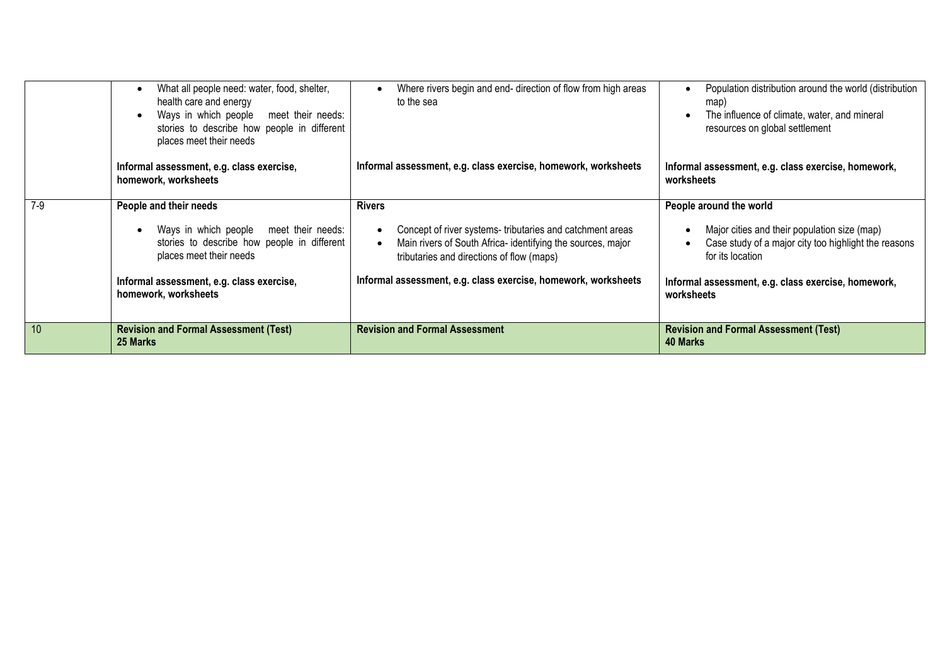|       | What all people need: water, food, shelter,<br>health care and energy<br>Ways in which people meet their needs:<br>$\bullet$<br>stories to describe how people in different<br>places meet their needs                       | Where rivers begin and end- direction of flow from high areas<br>to the sea                                                                                                                                                                                                       | Population distribution around the world (distribution<br>map)<br>The influence of climate, water, and mineral<br>resources on global settlement                                                                         |
|-------|------------------------------------------------------------------------------------------------------------------------------------------------------------------------------------------------------------------------------|-----------------------------------------------------------------------------------------------------------------------------------------------------------------------------------------------------------------------------------------------------------------------------------|--------------------------------------------------------------------------------------------------------------------------------------------------------------------------------------------------------------------------|
|       | Informal assessment, e.g. class exercise,<br>homework, worksheets                                                                                                                                                            | Informal assessment, e.g. class exercise, homework, worksheets                                                                                                                                                                                                                    | Informal assessment, e.g. class exercise, homework,<br>worksheets                                                                                                                                                        |
| $7-9$ | People and their needs<br>Ways in which people meet their needs:<br>$\bullet$<br>stories to describe how people in different<br>places meet their needs<br>Informal assessment, e.g. class exercise,<br>homework, worksheets | <b>Rivers</b><br>Concept of river systems-tributaries and catchment areas<br>$\bullet$<br>Main rivers of South Africa- identifying the sources, major<br>$\bullet$<br>tributaries and directions of flow (maps)<br>Informal assessment, e.g. class exercise, homework, worksheets | People around the world<br>Major cities and their population size (map)<br>Case study of a major city too highlight the reasons<br>for its location<br>Informal assessment, e.g. class exercise, homework,<br>worksheets |
| 10    | <b>Revision and Formal Assessment (Test)</b><br>25 Marks                                                                                                                                                                     | <b>Revision and Formal Assessment</b>                                                                                                                                                                                                                                             | <b>Revision and Formal Assessment (Test)</b><br>40 Marks                                                                                                                                                                 |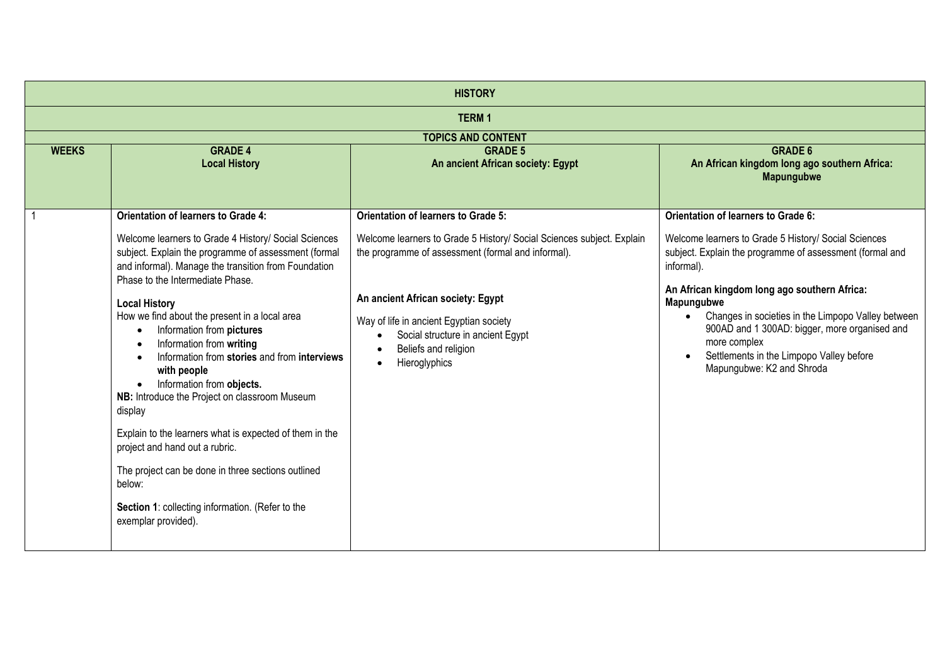| <b>HISTORY</b> |                                                                                                                                                                                                                                                                                                                                                                                                                                                                                                                                                                                                                                                                                                                                                                                   |                                                                                                                                                                                                                                                                                           |                                                                                                                                                                                                                                                                                                                                                                                                           |  |
|----------------|-----------------------------------------------------------------------------------------------------------------------------------------------------------------------------------------------------------------------------------------------------------------------------------------------------------------------------------------------------------------------------------------------------------------------------------------------------------------------------------------------------------------------------------------------------------------------------------------------------------------------------------------------------------------------------------------------------------------------------------------------------------------------------------|-------------------------------------------------------------------------------------------------------------------------------------------------------------------------------------------------------------------------------------------------------------------------------------------|-----------------------------------------------------------------------------------------------------------------------------------------------------------------------------------------------------------------------------------------------------------------------------------------------------------------------------------------------------------------------------------------------------------|--|
| <b>TERM1</b>   |                                                                                                                                                                                                                                                                                                                                                                                                                                                                                                                                                                                                                                                                                                                                                                                   |                                                                                                                                                                                                                                                                                           |                                                                                                                                                                                                                                                                                                                                                                                                           |  |
|                |                                                                                                                                                                                                                                                                                                                                                                                                                                                                                                                                                                                                                                                                                                                                                                                   | <b>TOPICS AND CONTENT</b>                                                                                                                                                                                                                                                                 |                                                                                                                                                                                                                                                                                                                                                                                                           |  |
| <b>WEEKS</b>   | <b>GRADE 4</b><br><b>Local History</b>                                                                                                                                                                                                                                                                                                                                                                                                                                                                                                                                                                                                                                                                                                                                            | <b>GRADE 5</b><br>An ancient African society: Egypt                                                                                                                                                                                                                                       | <b>GRADE 6</b><br>An African kingdom long ago southern Africa:<br><b>Mapungubwe</b>                                                                                                                                                                                                                                                                                                                       |  |
|                | <b>Orientation of learners to Grade 4:</b>                                                                                                                                                                                                                                                                                                                                                                                                                                                                                                                                                                                                                                                                                                                                        | <b>Orientation of learners to Grade 5:</b>                                                                                                                                                                                                                                                | <b>Orientation of learners to Grade 6:</b>                                                                                                                                                                                                                                                                                                                                                                |  |
|                | Welcome learners to Grade 4 History/ Social Sciences<br>subject. Explain the programme of assessment (formal<br>and informal). Manage the transition from Foundation<br>Phase to the Intermediate Phase.<br><b>Local History</b><br>How we find about the present in a local area<br>Information from pictures<br>$\bullet$<br>Information from writing<br>$\bullet$<br>Information from stories and from interviews<br>with people<br>Information from objects.<br>$\bullet$<br>NB: Introduce the Project on classroom Museum<br>display<br>Explain to the learners what is expected of them in the<br>project and hand out a rubric.<br>The project can be done in three sections outlined<br>below:<br>Section 1: collecting information. (Refer to the<br>exemplar provided). | Welcome learners to Grade 5 History/ Social Sciences subject. Explain<br>the programme of assessment (formal and informal).<br>An ancient African society: Egypt<br>Way of life in ancient Egyptian society<br>Social structure in ancient Egypt<br>Beliefs and religion<br>Hieroglyphics | Welcome learners to Grade 5 History/ Social Sciences<br>subject. Explain the programme of assessment (formal and<br>informal).<br>An African kingdom long ago southern Africa:<br>Mapungubwe<br>Changes in societies in the Limpopo Valley between<br>$\bullet$<br>900AD and 1 300AD: bigger, more organised and<br>more complex<br>Settlements in the Limpopo Valley before<br>Mapungubwe: K2 and Shroda |  |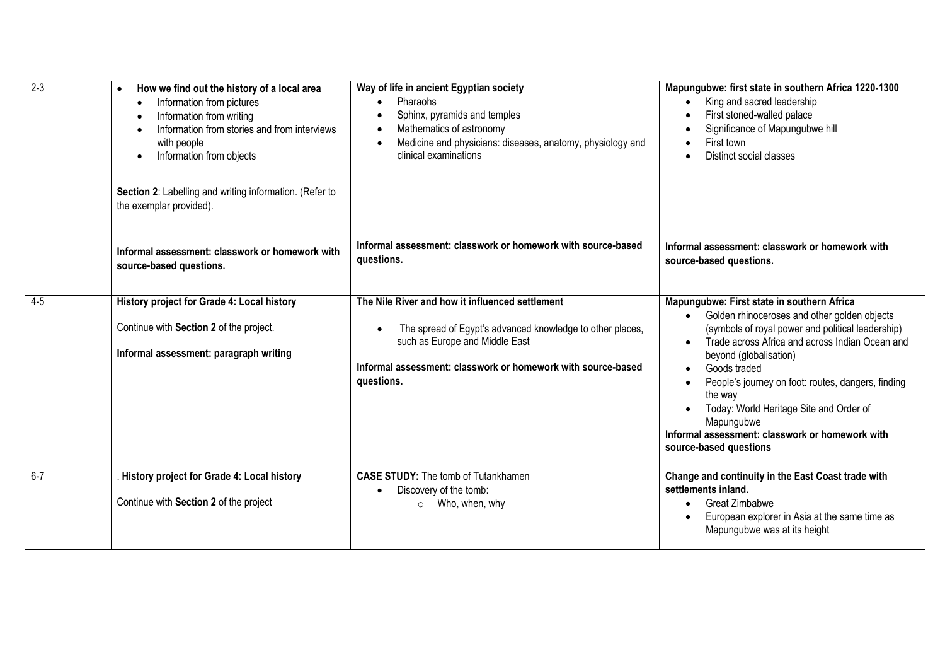| $2 - 3$ | How we find out the history of a local area<br>$\bullet$<br>Information from pictures<br>$\bullet$<br>Information from writing<br>$\bullet$<br>Information from stories and from interviews<br>$\bullet$<br>with people<br>Information from objects<br>$\bullet$<br>Section 2: Labelling and writing information. (Refer to<br>the exemplar provided). | Way of life in ancient Egyptian society<br>Pharaohs<br>$\bullet$<br>Sphinx, pyramids and temples<br>$\bullet$<br>Mathematics of astronomy<br>$\bullet$<br>Medicine and physicians: diseases, anatomy, physiology and<br>$\bullet$<br>clinical examinations | Mapungubwe: first state in southern Africa 1220-1300<br>King and sacred leadership<br>First stoned-walled palace<br>Significance of Mapungubwe hill<br>First town<br>Distinct social classes                                                                                                                                                                                                                                                                     |
|---------|--------------------------------------------------------------------------------------------------------------------------------------------------------------------------------------------------------------------------------------------------------------------------------------------------------------------------------------------------------|------------------------------------------------------------------------------------------------------------------------------------------------------------------------------------------------------------------------------------------------------------|------------------------------------------------------------------------------------------------------------------------------------------------------------------------------------------------------------------------------------------------------------------------------------------------------------------------------------------------------------------------------------------------------------------------------------------------------------------|
|         | Informal assessment: classwork or homework with<br>source-based questions.                                                                                                                                                                                                                                                                             | Informal assessment: classwork or homework with source-based<br>questions.                                                                                                                                                                                 | Informal assessment: classwork or homework with<br>source-based questions.                                                                                                                                                                                                                                                                                                                                                                                       |
| $4 - 5$ | History project for Grade 4: Local history<br>Continue with Section 2 of the project.<br>Informal assessment: paragraph writing                                                                                                                                                                                                                        | The Nile River and how it influenced settlement<br>The spread of Egypt's advanced knowledge to other places,<br>$\bullet$<br>such as Europe and Middle East<br>Informal assessment: classwork or homework with source-based<br>questions.                  | Mapungubwe: First state in southern Africa<br>Golden rhinoceroses and other golden objects<br>$\bullet$<br>(symbols of royal power and political leadership)<br>Trade across Africa and across Indian Ocean and<br>beyond (globalisation)<br>Goods traded<br>People's journey on foot: routes, dangers, finding<br>the way<br>Today: World Heritage Site and Order of<br>Mapungubwe<br>Informal assessment: classwork or homework with<br>source-based questions |
| $6 - 7$ | History project for Grade 4: Local history<br>Continue with Section 2 of the project                                                                                                                                                                                                                                                                   | <b>CASE STUDY:</b> The tomb of Tutankhamen<br>Discovery of the tomb:<br>$\bullet$<br>$\circ$ Who, when, why                                                                                                                                                | Change and continuity in the East Coast trade with<br>settlements inland.<br>Great Zimbabwe<br>European explorer in Asia at the same time as<br>Mapungubwe was at its height                                                                                                                                                                                                                                                                                     |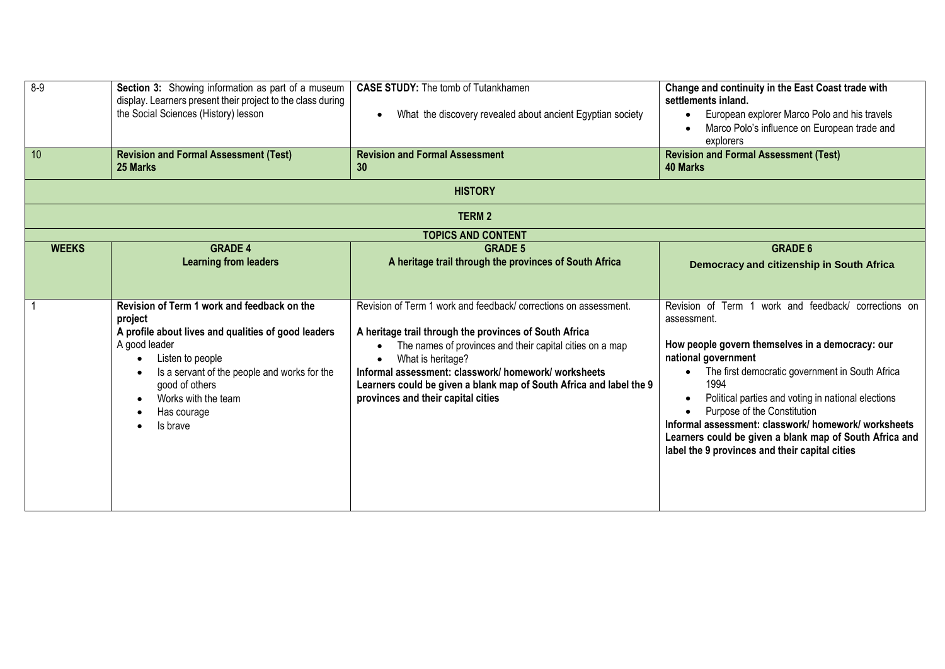| $8 - 9$<br>10 | Section 3: Showing information as part of a museum<br>display. Learners present their project to the class during<br>the Social Sciences (History) lesson<br><b>Revision and Formal Assessment (Test)</b><br>25 Marks                                                                                                      | <b>CASE STUDY:</b> The tomb of Tutankhamen<br>What the discovery revealed about ancient Egyptian society<br>$\bullet$<br><b>Revision and Formal Assessment</b><br>30                                                                                                                                                                                                                                       | Change and continuity in the East Coast trade with<br>settlements inland.<br>European explorer Marco Polo and his travels<br>Marco Polo's influence on European trade and<br>explorers<br><b>Revision and Formal Assessment (Test)</b><br><b>40 Marks</b>                                                                                                                                                                                                            |
|---------------|----------------------------------------------------------------------------------------------------------------------------------------------------------------------------------------------------------------------------------------------------------------------------------------------------------------------------|------------------------------------------------------------------------------------------------------------------------------------------------------------------------------------------------------------------------------------------------------------------------------------------------------------------------------------------------------------------------------------------------------------|----------------------------------------------------------------------------------------------------------------------------------------------------------------------------------------------------------------------------------------------------------------------------------------------------------------------------------------------------------------------------------------------------------------------------------------------------------------------|
|               |                                                                                                                                                                                                                                                                                                                            | <b>HISTORY</b>                                                                                                                                                                                                                                                                                                                                                                                             |                                                                                                                                                                                                                                                                                                                                                                                                                                                                      |
|               |                                                                                                                                                                                                                                                                                                                            | <b>TERM2</b><br><b>TOPICS AND CONTENT</b>                                                                                                                                                                                                                                                                                                                                                                  |                                                                                                                                                                                                                                                                                                                                                                                                                                                                      |
| <b>WEEKS</b>  | <b>GRADE 4</b><br><b>Learning from leaders</b>                                                                                                                                                                                                                                                                             | <b>GRADE 5</b><br>A heritage trail through the provinces of South Africa                                                                                                                                                                                                                                                                                                                                   | <b>GRADE 6</b><br>Democracy and citizenship in South Africa                                                                                                                                                                                                                                                                                                                                                                                                          |
|               | Revision of Term 1 work and feedback on the<br>project<br>A profile about lives and qualities of good leaders<br>A good leader<br>Listen to people<br>$\bullet$<br>Is a servant of the people and works for the<br>$\bullet$<br>good of others<br>Works with the team<br>$\bullet$<br>Has courage<br>$\bullet$<br>Is brave | Revision of Term 1 work and feedback/ corrections on assessment.<br>A heritage trail through the provinces of South Africa<br>The names of provinces and their capital cities on a map<br>$\bullet$<br>What is heritage?<br>$\bullet$<br>Informal assessment: classwork/ homework/ worksheets<br>Learners could be given a blank map of South Africa and label the 9<br>provinces and their capital cities | Revision of Term<br>work and feedback/ corrections on<br>assessment.<br>How people govern themselves in a democracy: our<br>national government<br>The first democratic government in South Africa<br>1994<br>Political parties and voting in national elections<br>Purpose of the Constitution<br>Informal assessment: classwork/ homework/ worksheets<br>Learners could be given a blank map of South Africa and<br>label the 9 provinces and their capital cities |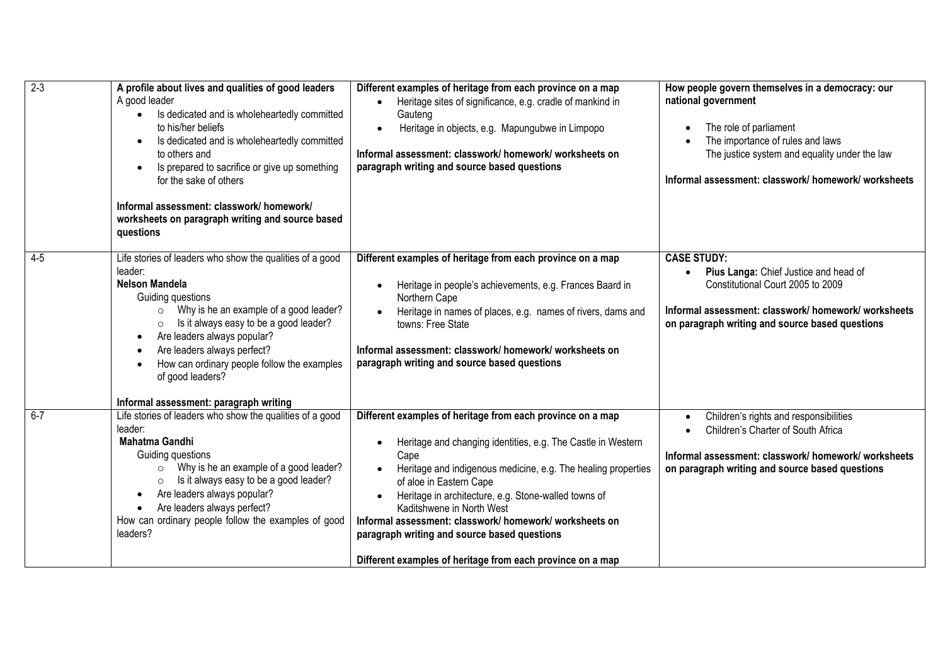| $2 - 3$ | A profile about lives and qualities of good leaders<br>A good leader<br>Is dedicated and is wholeheartedly committed<br>$\bullet$<br>to his/her beliefs<br>Is dedicated and is wholeheartedly committed<br>to others and<br>Is prepared to sacrifice or give up something<br>for the sake of others<br>Informal assessment: classwork/ homework/<br>worksheets on paragraph writing and source based<br>questions                | Different examples of heritage from each province on a map<br>Heritage sites of significance, e.g. cradle of mankind in<br>$\bullet$<br>Gauteng<br>Heritage in objects, e.g. Mapungubwe in Limpopo<br>Informal assessment: classwork/ homework/ worksheets on<br>paragraph writing and source based questions                                                                                                                                                                                | How people govern themselves in a democracy: our<br>national government<br>The role of parliament<br>The importance of rules and laws<br>The justice system and equality under the law<br>Informal assessment: classwork/homework/worksheets |
|---------|----------------------------------------------------------------------------------------------------------------------------------------------------------------------------------------------------------------------------------------------------------------------------------------------------------------------------------------------------------------------------------------------------------------------------------|----------------------------------------------------------------------------------------------------------------------------------------------------------------------------------------------------------------------------------------------------------------------------------------------------------------------------------------------------------------------------------------------------------------------------------------------------------------------------------------------|----------------------------------------------------------------------------------------------------------------------------------------------------------------------------------------------------------------------------------------------|
| $4 - 5$ | Life stories of leaders who show the qualities of a good<br>leader:<br><b>Nelson Mandela</b><br>Guiding questions<br>Why is he an example of a good leader?<br>$\circ$<br>Is it always easy to be a good leader?<br>$\circ$<br>Are leaders always popular?<br>$\bullet$<br>Are leaders always perfect?<br>$\bullet$<br>How can ordinary people follow the examples<br>of good leaders?<br>Informal assessment: paragraph writing | Different examples of heritage from each province on a map<br>Heritage in people's achievements, e.g. Frances Baard in<br>Northern Cape<br>Heritage in names of places, e.g. names of rivers, dams and<br>towns: Free State<br>Informal assessment: classwork/ homework/ worksheets on<br>paragraph writing and source based questions                                                                                                                                                       | <b>CASE STUDY:</b><br>Pius Langa: Chief Justice and head of<br>$\bullet$<br>Constitutional Court 2005 to 2009<br>Informal assessment: classwork/ homework/ worksheets<br>on paragraph writing and source based questions                     |
| $6 - 7$ | Life stories of leaders who show the qualities of a good<br>leader:<br><b>Mahatma Gandhi</b><br>Guiding questions<br>Why is he an example of a good leader?<br>$\circ$<br>Is it always easy to be a good leader?<br>$\circ$<br>Are leaders always popular?<br>$\bullet$<br>Are leaders always perfect?<br>$\bullet$<br>How can ordinary people follow the examples of good<br>leaders?                                           | Different examples of heritage from each province on a map<br>Heritage and changing identities, e.g. The Castle in Western<br>Cape<br>Heritage and indigenous medicine, e.g. The healing properties<br>of aloe in Eastern Cape<br>Heritage in architecture, e.g. Stone-walled towns of<br>Kaditshwene in North West<br>Informal assessment: classwork/ homework/ worksheets on<br>paragraph writing and source based questions<br>Different examples of heritage from each province on a map | Children's rights and responsibilities<br>Children's Charter of South Africa<br>$\bullet$<br>Informal assessment: classwork/ homework/ worksheets<br>on paragraph writing and source based questions                                         |